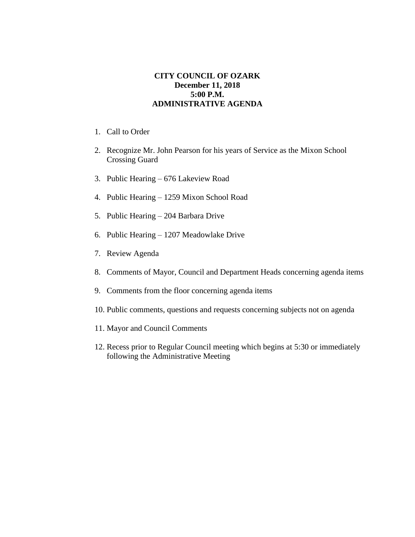## **CITY COUNCIL OF OZARK December 11, 2018 5:00 P.M. ADMINISTRATIVE AGENDA**

- 1. Call to Order
- 2. Recognize Mr. John Pearson for his years of Service as the Mixon School Crossing Guard
- 3. Public Hearing 676 Lakeview Road
- 4. Public Hearing 1259 Mixon School Road
- 5. Public Hearing 204 Barbara Drive
- 6. Public Hearing 1207 Meadowlake Drive
- 7. Review Agenda
- 8. Comments of Mayor, Council and Department Heads concerning agenda items
- 9. Comments from the floor concerning agenda items
- 10. Public comments, questions and requests concerning subjects not on agenda
- 11. Mayor and Council Comments
- 12. Recess prior to Regular Council meeting which begins at 5:30 or immediately following the Administrative Meeting